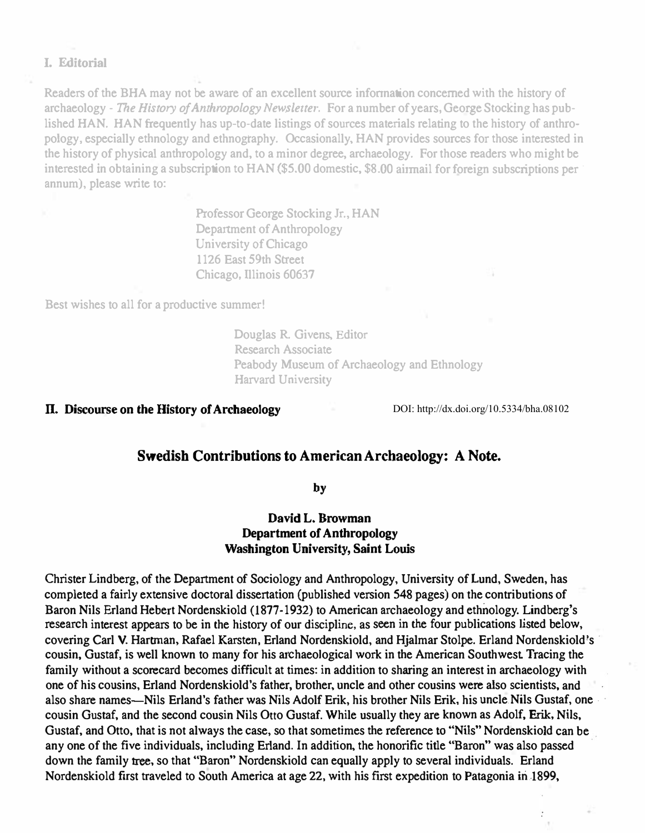#### I. Editorial

Readers of the BHA may not be aware of an excellent source information concerned with the history of archaeology - The History of Anthropology Newsletter. For a number of years, George Stocking has published HAN. HAN frequently has up-to-date listings of sources materials relating to the history of anthropology. especially ethnology and ethnogtaphy. Occasionally. RAN provides sources for those interested in the history of physical anthropology and. to a minor degree, archaeology. For those readers who might be interested in obtaining a subscription to HAN (\$5.00 domestic, \$8.00 airmail for foreign subscriptions per annum), please write to:

> Professor George Stocking Jr., RAN Department of Anthropology University of Chicago 1126 East 59th Street Chicago, lllinois 60637

Best wishes to all for a productive summer!

Douglas R. Givens. Editor Research Associate Peabody Museum of Archaeology and Ethnology Harvard University

### n. Discourse on the History of Archaeology

DOI: http://dx.doi.org/10.5334/bha.08102

# Swedish Contributions to American Archaeology: A Note.

by

# David L. Browman Department of Anthropology Washington University, Saint Louis

Christer Lindberg, of the Department of Sociology and Anthropology, University of Lund, Sweden, has completed a fairly extensive doctoral dissertation (published version 548 pages) on 'the contributions of Baron Nils Erland Rebert Nordenskiold (1877-1932) to American archaeology and ethnology. Lindberg's research interest appears to be in the history of our discipline, as seen in the four publications listed below, covering Carl V. Hartman, Rafael Karsten, Erland Nordenskiold, and Hialmar Stolpe. Erland Nordenskiold's cousin, Gustaf. is well known to many for his archaeological work in the American Southwest. Tracing the family without a scorecard becomes difficult at times: in addition to sharing an interest in archaeology with one of his cousins, Erland Nordenskiold's father, brother, uncle and other cousins were also scientists, and also share names—Nils Erland's father was Nils Adolf Erik, his brother Nils Erik, his uncle Nils Gustaf, one . cousin Gustaf, and the second cousin Nils Otto Gustaf. While usually they are known as Adolf, Erik, Nils, Gustaf, and Otto, that is not always the case, so that sometimes the reference to "Nils" Nordenskiold can be any one of the five individuals. including Erland. In addition. the honorific title "Baron" was also passed down the family tree, so that "Baron" Nordenskiold can equally apply to several individuals. Erland Nordenskiold first traveled to South America at age 22, with his first expedition to Patagonia in 1899,